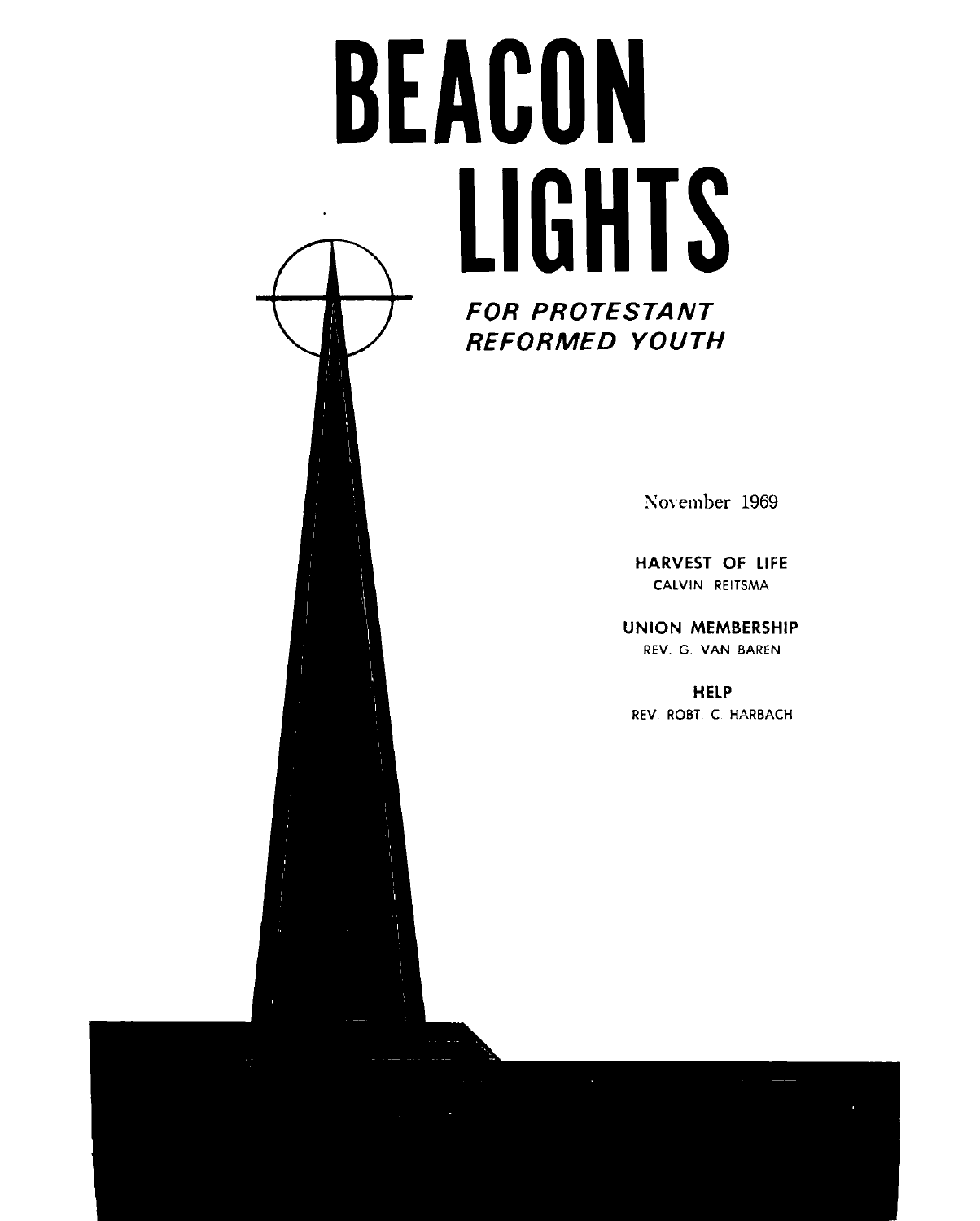# BEACON LIGHTS **FOR PROTESTANT REFORMED YOUTH**

November 1969

**HARVEST OF LIFE** CALVIN REITSMA

**UNION MEMBERSHIP** REV. G. VAN BAREN

**HELP** REV. ROBT. C. HARBACH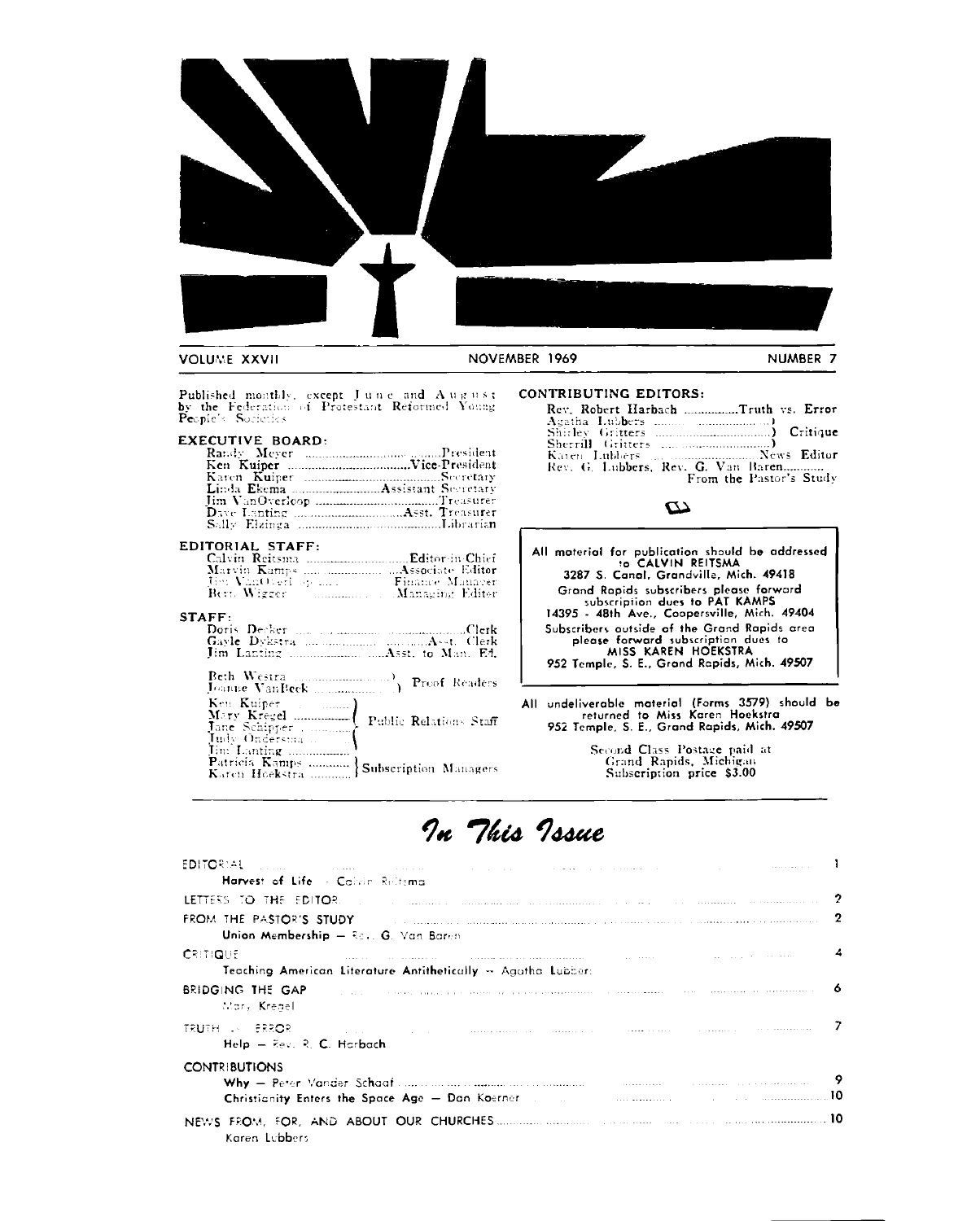

Published monthly, except June and August<br>by the Federation of Protestant Reformed Young<br>People's Societies

#### **EXECUTIVE BOARD:**

#### EDITORIAL STAFF:

| Marvin Kamps   Associate Editor |                 |
|---------------------------------|-----------------|
| The VanOverlook and             | Finance Manneer |
| Berr. Wizzer                    | Managing Editor |

#### $\overline{\text{STAFF}}$

| Doris Decker |  |
|--------------|--|
|              |  |
|              |  |

| Tim Lanting<br>Patricia Kamps  Subscription Managers |  |
|------------------------------------------------------|--|

#### CONTRIBUTING EDITORS:

| Rev. Robert Harbach Truth vs. Error           |  |
|-----------------------------------------------|--|
| Agatha Lubbers $\ldots$ , $\ldots$ , $\ldots$ |  |
|                                               |  |
| Rev. G. Lubbers, Rev. G. Van Baren            |  |
| From the Pastor's Study                       |  |

#### $\boldsymbol{\omega}$

| All material for publication should be addressed<br>to CALVIN REITSMA                                                                                      |
|------------------------------------------------------------------------------------------------------------------------------------------------------------|
| 3287 S. Canal, Grandville, Mich. 49418                                                                                                                     |
| Grand Rapids subscribers please forward<br>subscription dues to PAT KAMPS<br>14395 - 48th Ave., Coopersville, Mich. 49404                                  |
| Subscribers outside of the Grand Rapids area<br>please forward subscription dues to<br>MISS KAREN HOEKSTRA<br>952 Temple, S. E., Grand Rapids, Mich. 49507 |

All undeliverable material (Forms 3579) should be<br>returned to Miss Karen Hoekstra<br>952 Temple, S. E., Grand Rapids, Mich. 49507

Second Class Postage paid at<br>Grand Rapids, Michigan<br>Subscription price \$3.00

## In This Issue

| EDITORIAL (1996) - Antonio Control (1996) - Antonio Control (1996) - Antonio Control (1997) - Antonio Control (                                                                                                                                                                                                    |   |
|--------------------------------------------------------------------------------------------------------------------------------------------------------------------------------------------------------------------------------------------------------------------------------------------------------------------|---|
| Harvest of Life - Calvin Reltana                                                                                                                                                                                                                                                                                   |   |
| LETTERS TO THE EDITOR. The communication of the communication of the communication of the communication                                                                                                                                                                                                            | 2 |
| FROM THE PASTOR'S STUDY And the company of the contract of the contract of the contract of the contract of the<br>Union Membership - Rev. G. Van Baren                                                                                                                                                             | , |
| and the common communication in the communication of the communication of the communication of the Communication of the Communication of the Communication of the Communication of the Communication of the Communication of t<br><b>CRITIQUE</b><br>Teaching American Literature Antithetically -- Agatha Lubber: |   |
| $\bullet$ . The component of the contract of the component of the contract of the component of $\bullet$<br>BRIDGING THE GAP<br>War, Kreael                                                                                                                                                                        |   |
| TRUTH AN ERROR COMPANY OF THE COMMUNICATION COMMUNICATION COMMUNICATION COMMUNICATION<br>$HeIp = Rev$ , R. C. Harbach                                                                                                                                                                                              |   |
| <b>CONTRIBUTIONS</b><br>Christianity Enters the Space Age - Dan Koerner and an annual contract of the community of the Space Age - Dan Koerner and an annual contract of the Space Age - Dan Koerner and an annual contract of the Space Age - Dan Koe                                                             |   |
| Karen Lubbers                                                                                                                                                                                                                                                                                                      |   |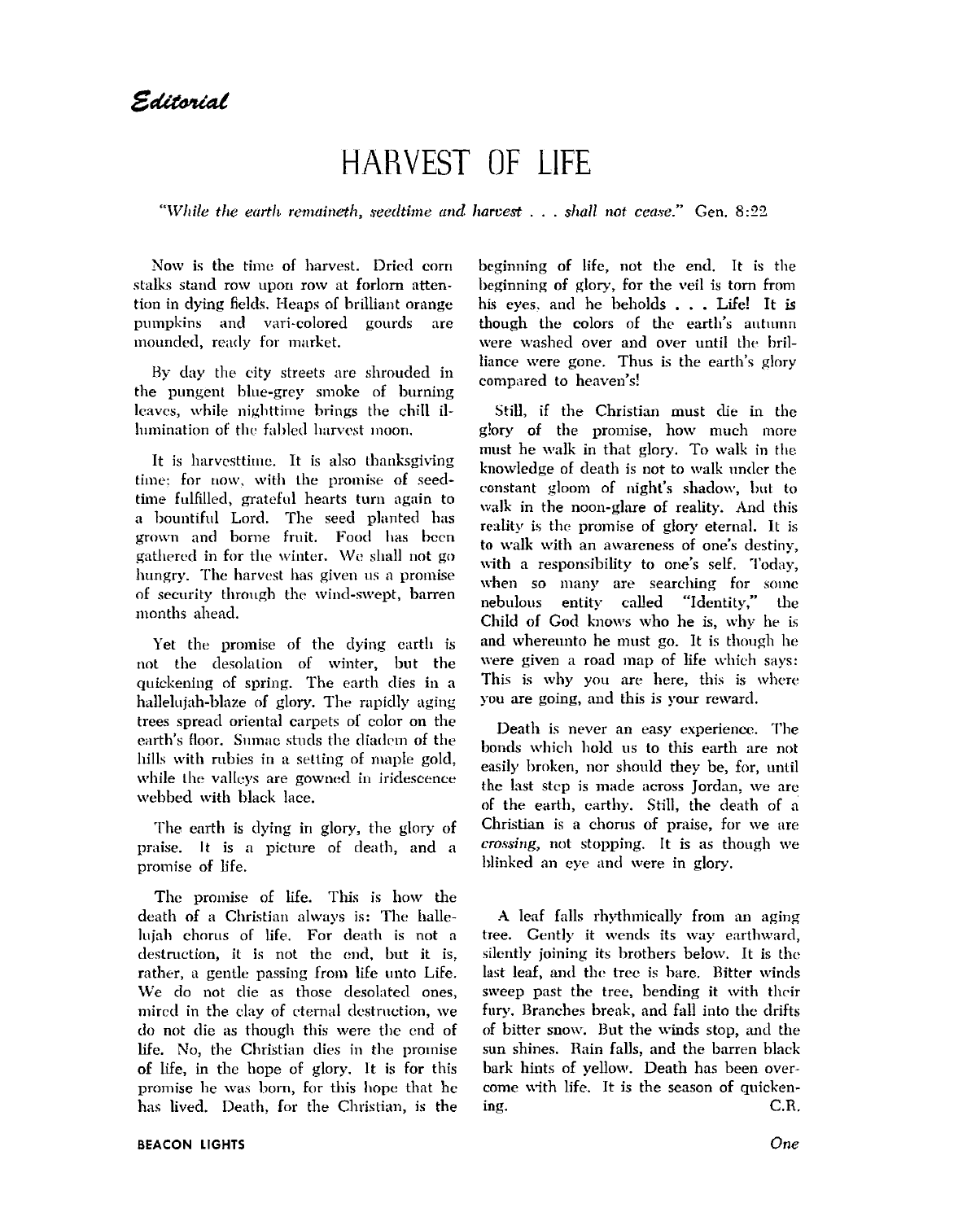## **HARVEST OF LIFE**

"While the earth remaineth, seedtime and harvest  $\dots$  shall not cease." Gen. 8:22

Now is the time of harvest. Dried corn stalks stand row upon row at forlorn attention in dying fields. Heaps of brilliant orange pumpkins and vari-colored gourds are mounded, ready for market.

By day the city streets are shrouded in the pungent blue-grey smoke of burning leaves, while nighttime brings the chill illumination of the fabled harvest moon,

It is harvesttime. It is also thanksgiving time: for now, with the promise of seedtime fulfilled, grateful hearts turn again to a bountiful Lord. The seed planted has grown and borne fruit. Food has been gathered in for the winter. We shall not go hungry. The harvest has given us a promise of security through the wind-swept, barren months ahead.

Yet the promise of the dying earth is not the desolation of winter, but the quickening of spring. The earth dies in a hallelujah-blaze of glory. The rapidly aging trees spread oriental carpets of color on the earth's floor. Sumac studs the diadem of the hills with rubies in a setting of maple gold, while the valleys are gowned in iridescence webbed with black lace.

The earth is dying in glory, the glory of praise. It is a picture of death, and a promise of life.

The promise of life. This is how the death of a Christian always is: The hallelujah chorus of life. For death is not a destruction, it is not the end, but it is, rather, a gentle passing from life unto Life. We do not die as those desolated ones, mired in the clay of eternal destruction, we do not die as though this were the end of life. No, the Christian dies in the promise of life, in the hope of glory. It is for this promise he was born, for this hope that he has lived. Death, for the Christian, is the beginning of life, not the end. It is the beginning of glory, for the veil is torn from his eyes, and he beholds . . . Life! It is though the colors of the earth's autumn were washed over and over until the brilliance were gone. Thus is the earth's glory compared to heaven's!

Still, if the Christian must die in the glory of the promise, how much more must he walk in that glory. To walk in the knowledge of death is not to walk under the constant gloom of night's shadow, but to walk in the noon-glare of reality. And this reality is the promise of glory eternal. It is to walk with an awareness of one's destiny, with a responsibility to one's self. Today, when so many are searching for some nebulous entity called "Identity," the Child of God knows who he is, why he is and whereunto he must go. It is though he were given a road map of life which says: This is why you are here, this is where you are going, and this is your reward.

Death is never an easy experience. The bonds which hold us to this earth are not easily broken, nor should they be, for, until the last step is made across Jordan, we are of the earth, earthy. Still, the death of a Christian is a chorus of praise, for we are crossing, not stopping. It is as though we blinked an eye and were in glory.

A leaf falls rhythmically from an aging tree. Gently it wends its way earthward, silently joining its brothers below. It is the last leaf, and the tree is bare. Bitter winds sweep past the tree, bending it with their fury. Branches break, and fall into the drifts of bitter snow. But the winds stop, and the sun shines. Rain falls, and the barren black bark hints of yellow. Death has been overcome with life. It is the season of quicken- $C.R.$ ing.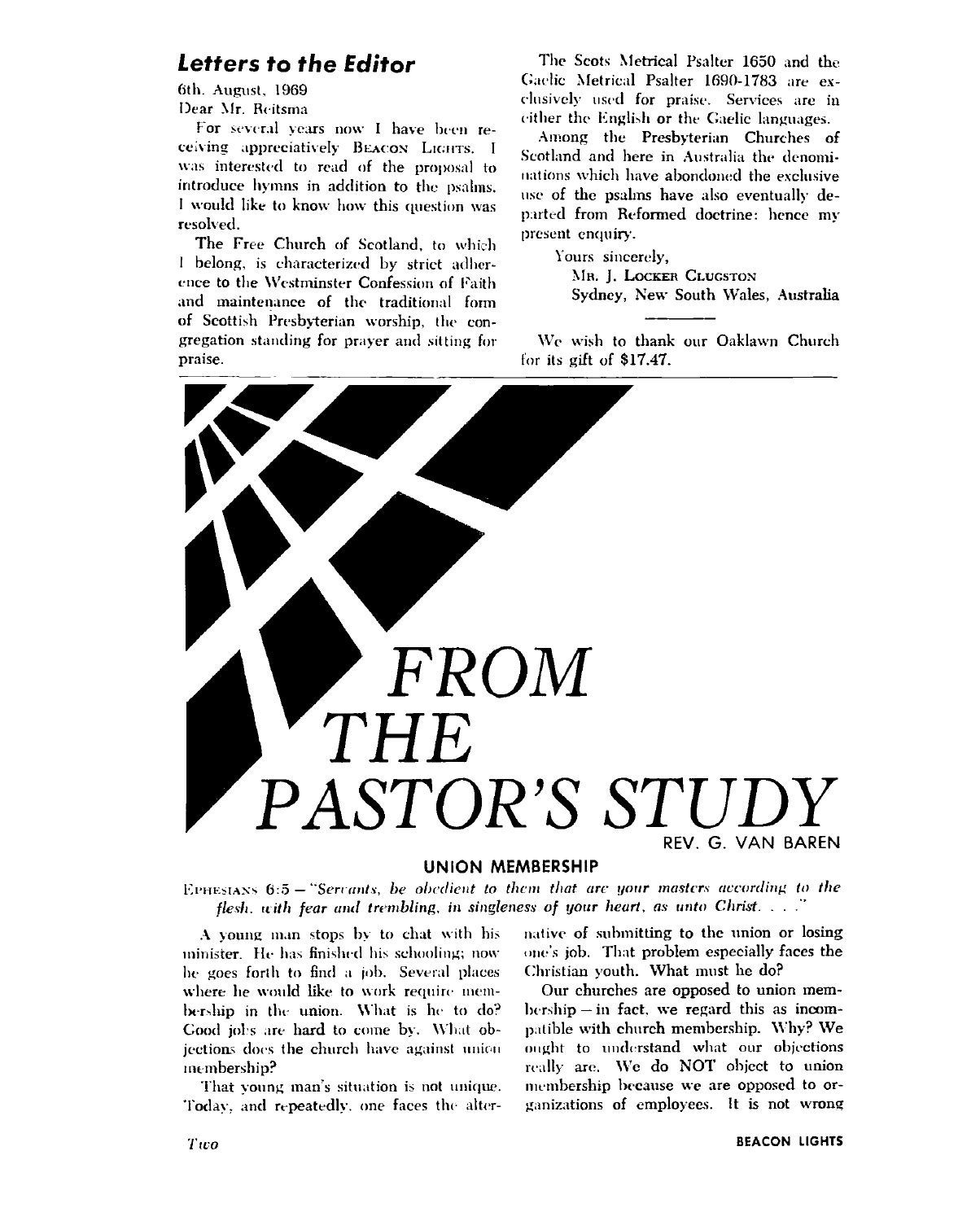#### Letters to the Editor

6th. August. 1969 Dear Mr. Reitsma

For several years now I have been receiving appreciatively BEACON LIGHTS. I was interested to read of the proposal to introduce hymns in addition to the psalms. I would like to know how this question was resolved.

The Free Church of Scotland, to which I belong, is characterized by strict adherence to the Westminster Confession of Faith and maintenance of the traditional form of Scottish Presbyterian worship, the congregation standing for prayer and sitting for praise.

The Scots Metrical Psalter 1650 and the Gaelic Metrical Psalter 1690-1783 are exclusively used for praise. Services are in cither the English or the Gaelic languages.

Among the Presbyterian Churches of Scotland and here in Australia the denominations which have abondoned the exclusive use of the psalms have also eventually departed from Reformed doctrine: hence my present enquiry.

Yours sincerely.

MR. J. LOCKER CLUGSTON Sydney, New South Wales, Australia

We wish to thank our Oaklawn Church for its gift of \$17.47.



#### **UNION MEMBERSHIP**

EPHESIANS 6:5 - "Servants, be obedient to them that are your masters according to the flesh, with fear and trembling, in singleness of your heart, as unto Christ. . . ."

A young man stops by to chat with his minister. He has finished his schooling; now he goes forth to find a job. Several places where he would like to work require membership in the union. What is he to do? Good jobs are hard to come by. What objections does the church have against union membership?

That young man's situation is not unique. Today, and repeatedly, one faces the alternative of submitting to the union or losing one's job. That problem especially faces the Christian youth. What must he do?

Our churches are opposed to union mem- $\text{bership} - \text{in}$  fact, we regard this as incompatible with church membership. Why? We ought to understand what our objections really are. We do NOT object to union membership because we are opposed to organizations of employees. It is not wrong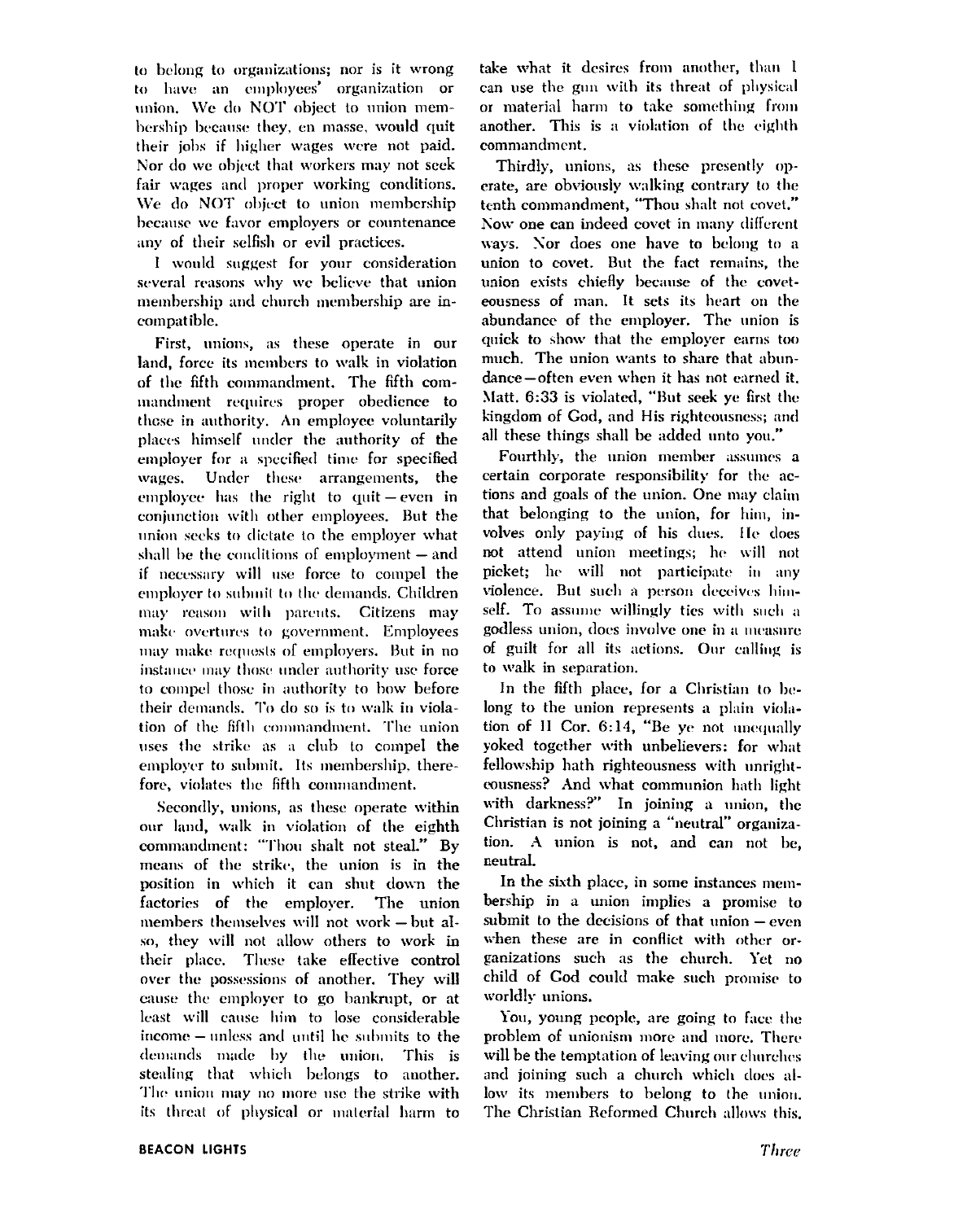to belong to organizations; nor is it wrong to have an employees' organization or union. We do NOT object to union membership because they, en masse, would quit their jobs if higher wages were not paid. Nor do we object that workers may not seek fair wages and proper working conditions. We do NOT object to union membership because we favor employers or countenance any of their selfish or evil practices.

I would suggest for your consideration several reasons why we believe that union membership and church membership are incompatible.

First, unions, as these operate in our land, force its members to walk in violation of the fifth commandment. The fifth commandment requires proper obedience to those in authority. An employee voluntarily places himself under the authority of the employer for a specified time for specified wages. Under these arrangements, the employee has the right to quit  $-$  even in conjunction with other employees. But the union seeks to dictate to the employer what shall be the conditions of employment  $-$  and if necessary will use force to compel the emplover to submit to the demands. Children may reason with parents. Citizens may make overtures to government. Employees may make requests of employers. But in no instance may those under authority use force to compel those in authority to how before their demands. To do so is to walk in violation of the fifth commandment. The union uses the strike as a club to compel the employer to submit. Its membership, therefore, violates the fifth commandment.

Secondly, unions, as these operate within our land, walk in violation of the eighth commandment: "Thou shalt not steal." By means of the strike, the union is in the position in which it can shut down the factories of the employer. The union members themselves will not work - but also, they will not allow others to work in their place. These take effective control over the possessions of another. They will cause the employer to go bankrupt, or at least will cause him to lose considerable income - unless and until he submits to the demands made by the union. This is stealing that which belongs to another. The union may no more use the strike with its threat of physical or material harm to

take what it desires from another, than I can use the gun with its threat of physical or material harm to take something from another. This is a violation of the eighth commandment.

Thirdly, unions, as these presently operate, are obviously walking contrary to the tenth commandment, "Thou shalt not covet." Now one can indeed covet in many different ways. Nor does one have to belong to a union to covet. But the fact remains, the union exists chiefly because of the coveteousness of man. It sets its heart on the abundance of the employer. The union is quick to show that the employer earns too much. The union wants to share that abundance-often even when it has not earned it. Matt. 6:33 is violated, "But seek ye first the kingdom of God, and His righteousness; and all these things shall be added unto you."

Fourthly, the union member assumes a certain corporate responsibility for the actions and goals of the union. One may claim that belonging to the union, for him, involves only paying of his dues. He does not attend union meetings; he will not picket; he will not participate in any violence. But such a person deceives himself. To assume willingly ties with such a godless union, does involve one in a measure of guilt for all its actions. Our calling is to walk in separation.

In the fifth place, for a Christian to belong to the union represents a plain violation of II Cor. 6:14, "Be ye not unequally yoked together with unbelievers: for what fellowship hath righteousness with unrightcousness? And what communion hath light with darkness?" In joining a union, the Christian is not joining a "neutral" organization. A union is not, and can not be, neutral.

In the sixth place, in some instances membership in a union implies a promise to submit to the decisions of that union - even when these are in conflict with other organizations such as the church. Yet no child of God could make such promise to worldly unions.

You, young people, are going to face the problem of unionism more and more. There will be the temptation of leaving our churches and joining such a church which does allow its members to belong to the union. The Christian Reformed Church allows this,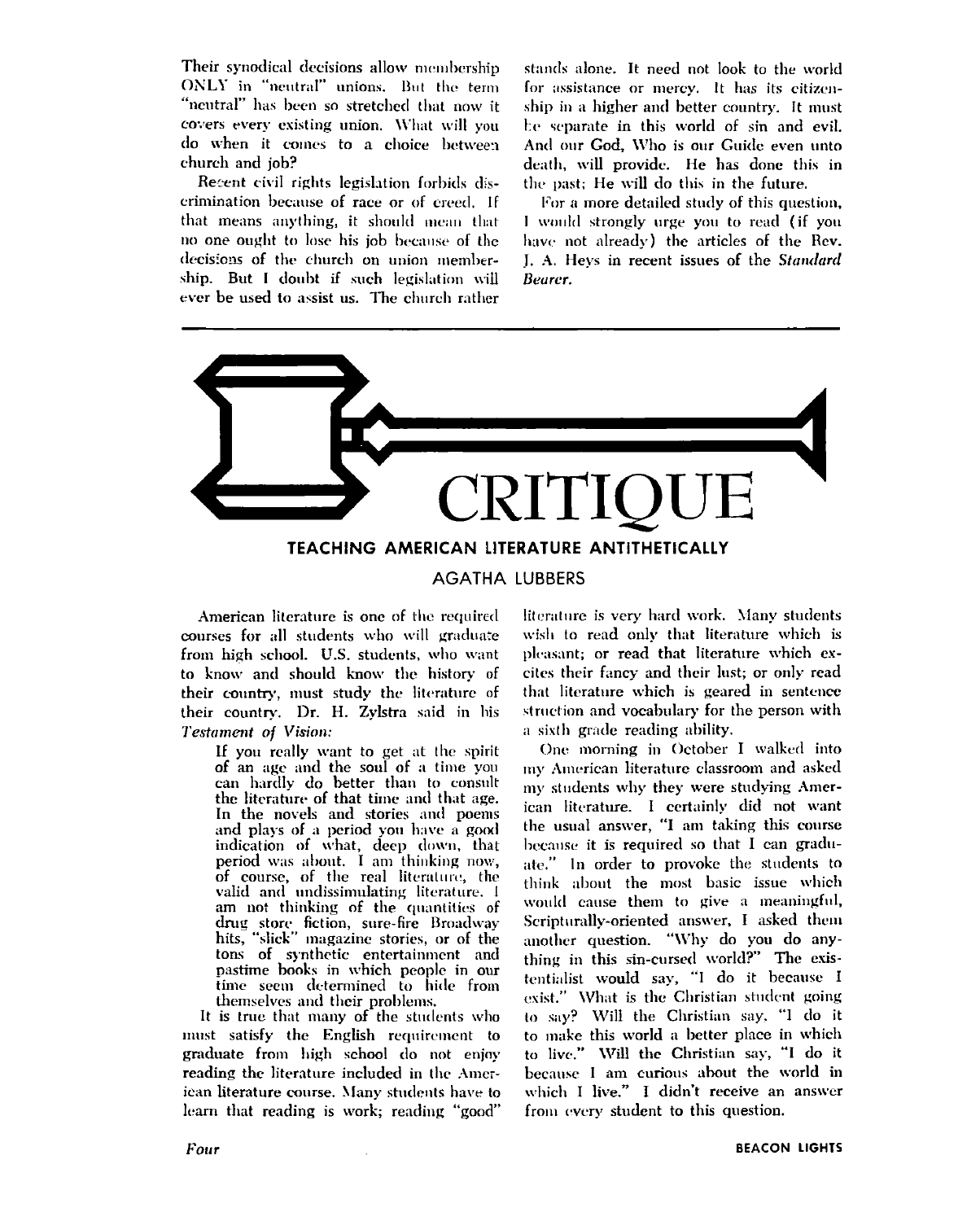Their synodical decisions allow membership ONLY in "neutral" unions. But the term "neutral" has been so stretched that now it covers every existing union. What will you do when it comes to a choice between church and job?

Recent civil rights legislation forbids discrimination because of race or of creed. If that means anything, it should mean that no one ought to lose his job because of the decisions of the church on union membership. But I doubt if such legislation will ever be used to assist us. The church rather stands alone. It need not look to the world for assistance or mercy. It has its citizenship in a higher and better country. It must be separate in this world of sin and evil. And our God, Who is our Guide even unto death, will provide. He has done this in the past; He will do this in the future.

For a more detailed study of this question, I would strongly urge you to read (if you have not already) the articles of the Rev. J. A. Hevs in recent issues of the Standard Bearer.



American literature is one of the required courses for all students who will graduate from high school. U.S. students, who want to know and should know the history of their country, must study the literature of their country. Dr. H. Zylstra said in his Testament of Vision:

> If you really want to get at the spirit of an age and the soul of a time you can hardly do better than to consult the literature of that time and that age. In the novels and stories and poems and plays of a period you have a good indication of what, deep down, that period was about. I am thinking now, of course, of the real literature, the valid and undissimulating literature. I am not thinking of the quantities of drug store fiction, sure-fire Broadway<br>hits, "slick" magazine stories, or of the tons of synthetic entertainment and pastime books in which people in our time seem determined to hide from themselves and their problems.

It is true that many of the students who must satisfy the English requirement to graduate from high school do not enjoy reading the literature included in the American literature course. Many students have to learn that reading is work; reading "good"

literature is very hard work. Many students wish to read only that literature which is pleasant; or read that literature which excites their fancy and their lust; or only read that literature which is geared in sentence struction and vocabulary for the person with a sixth grade reading ability.

One morning in October I walked into my American literature classroom and asked my students why they were studying American literature. I certainly did not want the usual answer, "I am taking this course because it is required so that I can graduate." In order to provoke the students to think about the most basic issue which would cause them to give a meaningful, Scripturally-oriented answer, I asked them another question. "Why do you do anything in this sin-cursed world?" The existentialist would say, "I do it because I exist." What is the Christian student going to say? Will the Christian say, "I do it to make this world a better place in which to live." Will the Christian say, "I do it because I am curious about the world in which I live." I didn't receive an answer from every student to this question.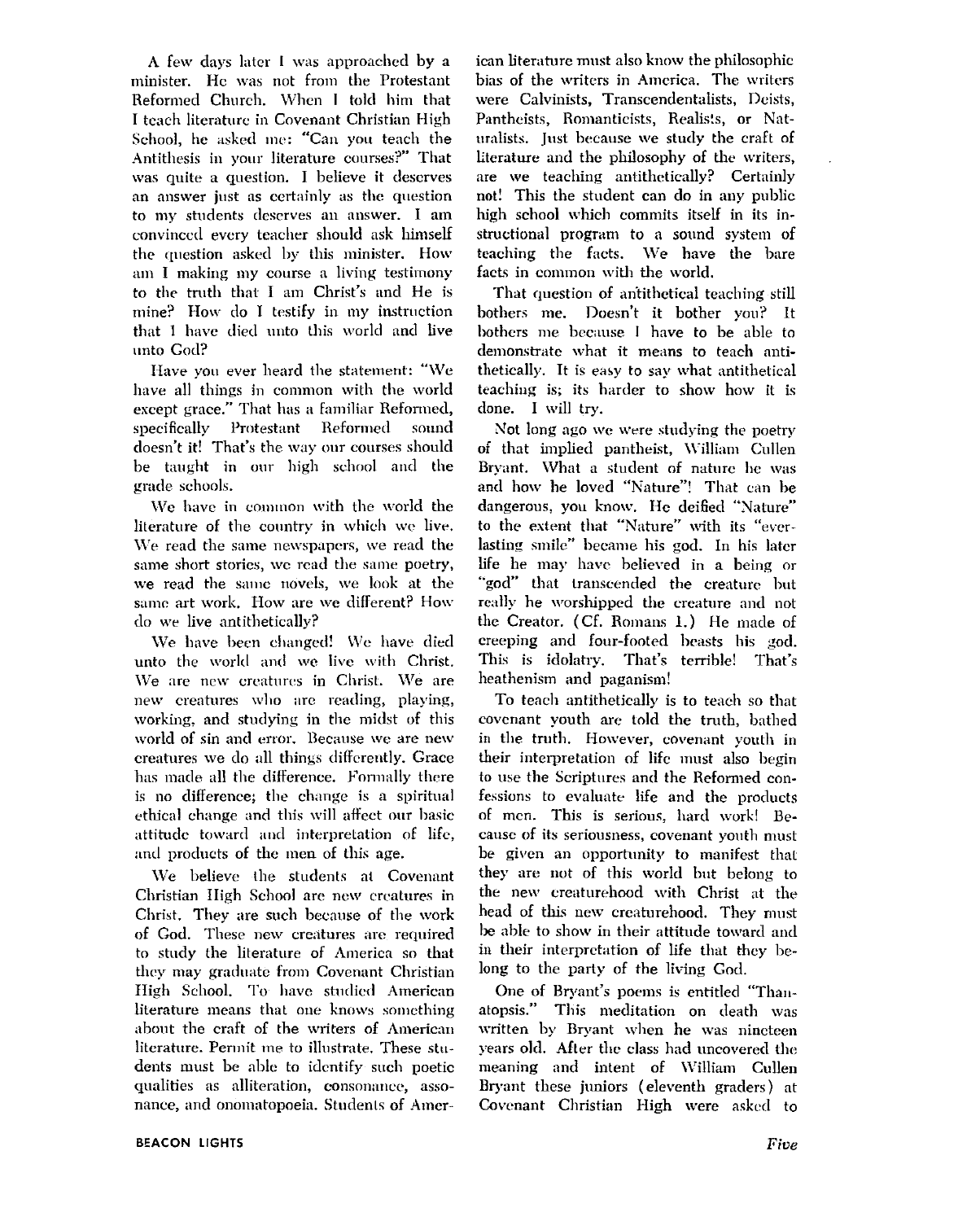A few days later I was approached by a minister. He was not from the Protestant Reformed Church. When I told him that I teach literature in Covenant Christian High School, he asked me: "Can you teach the Antithesis in your literature courses?" That was quite a question. I believe it deserves an answer just as certainly as the question to my students deserves an answer. I am convinced every teacher should ask himself the question asked by this minister. How am I making my course a living testimony to the truth that I am Christ's and He is mine? How do I testify in my instruction that I have died unto this world and live unto God?

Have you ever heard the statement: "We have all things in common with the world except grace." That has a familiar Reformed, specifically Protestant Reformed sound doesn't it! That's the way our courses should be taught in our high school and the grade schools.

We have in common with the world the literature of the country in which we live. We read the same newspapers, we read the same short stories, we read the same poetry, we read the same novels, we look at the same art work. How are we different? How do we live antithetically?

We have been changed! We have died unto the world and we live with Christ. We are new creatures in Christ. We are new creatures who are reading, playing, working, and studying in the midst of this world of sin and error. Because we are new creatures we do all things differently. Grace has made all the difference. Formally there is no difference; the change is a spiritual ethical change and this will affect our basic attitude toward and interpretation of life, and products of the men of this age.

We believe the students at Covenant Christian High School are new creatures in Christ. They are such because of the work of God. These new creatures are required to study the literature of America so that they may graduate from Covenant Christian High School. To have studied American literature means that one knows something about the craft of the writers of American literature. Permit me to illustrate. These students must be able to identify such poetic qualities as alliteration, consonance, assonance, and onomatopoeia. Students of American literature must also know the philosophic bias of the writers in America. The writers were Calvinists, Transcendentalists, Deists, Pantheists, Romanticists, Realists, or Naturalists. Just because we study the craft of literature and the philosophy of the writers, are we teaching antithetically? Certainly not! This the student can do in any public high school which commits itself in its instructional program to a sound system of teaching the facts. We have the bare facts in common with the world.

That question of antithetical teaching still bothers me. Doesn't it bother you? It bothers me because I have to be able to demonstrate what it means to teach antithetically. It is easy to say what antithetical teaching is; its harder to show how it is done. I will try.

Not long ago we were studying the poetry of that implied pantheist, William Cullen Bryant. What a student of nature he was and how he loved "Nature"! That can be dangerous, you know. He deified "Nature" to the extent that "Nature" with its "everlasting smile" became his god. In his later life he may have believed in a being or "god" that transcended the creature but really he worshipped the creature and not the Creator. (Cf. Romans 1.) He made of creeping and four-footed beasts his god. This is idolatry. That's terrible! That's heathenism and paganism!

To teach antithetically is to teach so that covenant youth are told the truth, bathed in the truth. However, covenant youth in their interpretation of life must also begin to use the Scriptures and the Reformed confessions to evaluate life and the products of men. This is serious, hard work! Because of its seriousness, covenant youth must be given an opportunity to manifest that they are not of this world but belong to the new creaturehood with Christ at the head of this new creaturehood. They must be able to show in their attitude toward and in their interpretation of life that they belong to the party of the living God.

One of Bryant's poems is entitled "Thanatopsis." This meditation on death was written by Bryant when he was nincteen years old. After the class had uncovered the meaning and intent of William Cullen Bryant these juniors (eleventh graders) at Covenant Christian High were asked to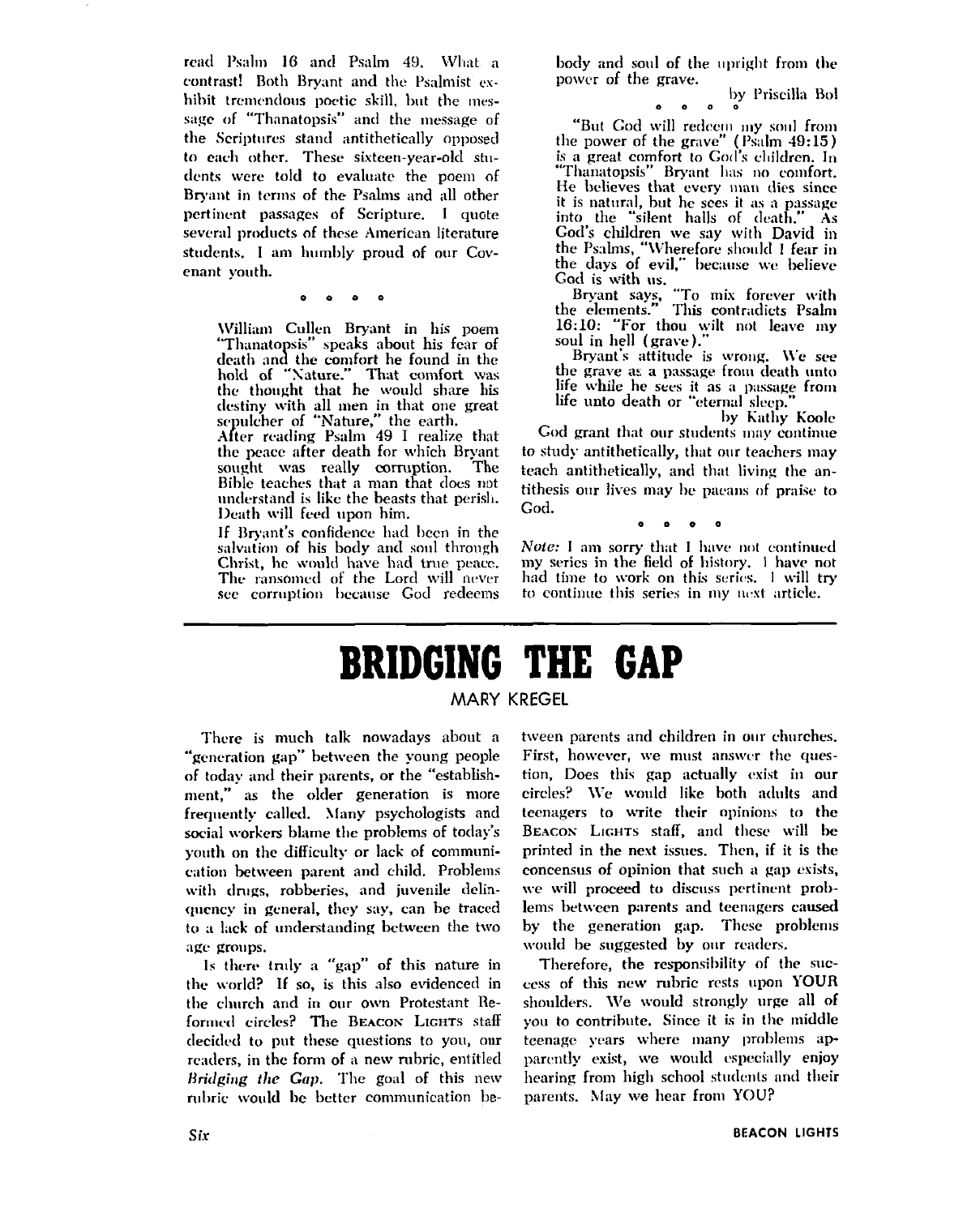read Psalm 16 and Psalm 49. What a contrast! Both Bryant and the Psalmist exhibit tremendous poetic skill, but the message of "Thanatopsis" and the message of the Scriptures stand antithetically opposed to each other. These sixteen-year-old students were told to evaluate the poem of Bryant in terms of the Psalms and all other pertinent passages of Scripture. I quote several products of these American literature students. I am humbly proud of our Covenant vouth.

William Cullen Bryant in his poem "Thanatopsis" speaks about his fear of death and the comfort he found in the hold of "Nature." That comfort was<br>the thought that he would share his destiny with all men in that one great<br>sepulcher of "Nature," the earth.<br>After reading Psalm 49 I realize that

the peace after death for which Bryant sought was really corruption. The Bible teaches that a man that does not understand is like the beasts that perish. Death will feed upon him.

If Bryant's confidence had been in the salvation of his body and soul through Christ, he would have had true peace. The ransomed of the Lord will never see corruption because God redeems body and soul of the upright from the power of the grave.

by Priscilla Bol

"But God will redeem my soul from the power of the grave" (Psalm 49:15) is a great comfort to God's children. In<br>"Thanatopsis" Bryant has no comfort. He believes that every man dies since<br>it is natural, but he sees it as a passage<br>into the "silent halls of death." As<br>God's children we say with David in the Psalms, "Wherefore should I fear in the days of evil," because we believe

God is with us.<br>Bryant says, "To mix forever with the elements." This contradicts Psalm 16:10: "For thou wilt not leave my soul in hell (grave).

Bryant's attitude is wrong. We see the grave as a passage from death unto life while he sees it as a passage from life unto death or "eternal sleep."

by Kathy Koole God grant that our students may continue to study antithetically, that our teachers may teach antithetically, and that living the antithesis our lives may be paeans of praise to

*Note:* I am sorry that I have not continued my series in the field of history, I have not had time to work on this series. 1 will try to continue this series in my next article.

## **BRIDGING THE GAP**

God.

#### **MARY KREGEL**

There is much talk nowadays about a "generation gap" between the young people of today and their parents, or the "establishment," as the older generation is more frequently called. Many psychologists and social workers blame the problems of today's vouth on the difficulty or lack of communication between parent and child. Problems with drugs, robberies, and juvenile delinquency in general, they say, can be traced to a lack of understanding between the two age groups.

Is there truly a "gap" of this nature in the world? If so, is this also evidenced in the church and in our own Protestant Reformed circles? The BEACON LIGHTS staff decided to put these questions to you, our readers, in the form of a new rubric, entitled Bridging the Gap. The goal of this new rubric would be better communication between parents and children in our churches. First, however, we must answer the question, Does this gap actually exist in our circles? We would like both adults and teenagers to write their opinions to the BEACON LIGHTS staff, and these will be printed in the next issues. Then, if it is the concensus of opinion that such a gap exists, we will proceed to discuss pertinent problems between parents and teenagers caused by the generation gap. These problems would be suggested by our readers.

Therefore, the responsibility of the success of this new rubric rests upon YOUR shoulders. We would strongly urge all of you to contribute. Since it is in the middle teenage years where many problems apparently exist, we would especially enjoy hearing from high school students and their parents. May we hear from YOU?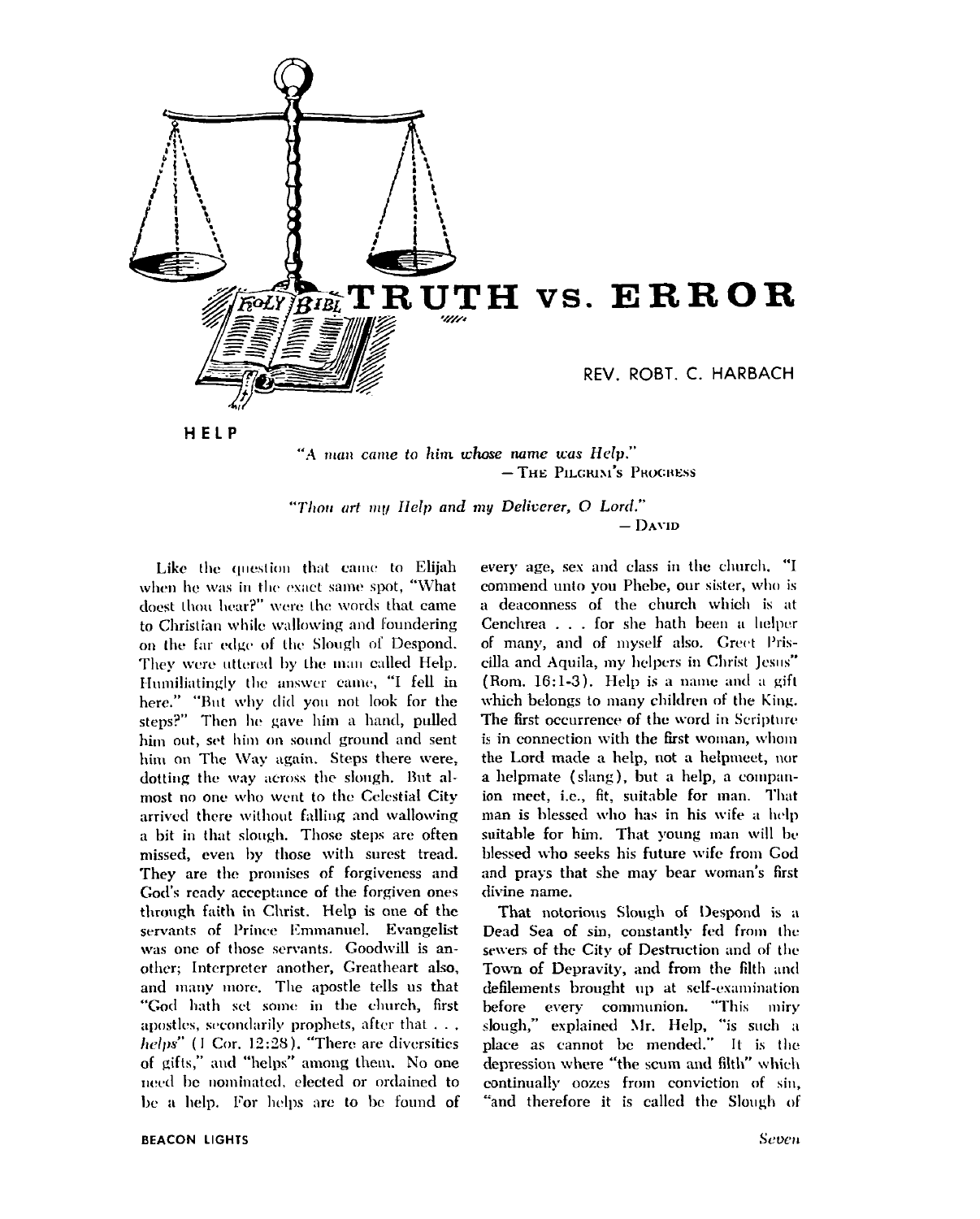

- THE PILGRIM'S PROGRESS

"Thou art my Help and my Deliverer, O Lord."  $-$  David

Like the question that came to Elijah when he was in the exact same spot, "What doest thou hear?" were the words that came to Christian while wallowing and foundering on the far edge of the Slough of Despond. They were uttered by the man called Help. Humiliatingly the answer came, "I fell in here." "But why did you not look for the steps?" Then he gave him a hand, pulled him out, set him on sound ground and sent him on The Way again. Steps there were, dotting the way across the slough. But almost no one who went to the Celestial City arrived there without falling and wallowing a bit in that slough. Those steps are often missed, even by those with surest tread. They are the promises of forgiveness and God's ready acceptance of the forgiven ones through faith in Christ. Help is one of the servants of Prince Emmanuel. Evangelist was one of those servants. Goodwill is another; Interpreter another, Greatheart also, and many more. The apostle tells us that "God hath set some in the church, first apostles, secondarily prophets, after that . . . helps" (1 Cor, 12:28), "There are diversities of gifts," and "helps" among them. No one need be nominated, elected or ordained to be a help. For helps are to be found of every age, sex and class in the church. "I commend unto you Phebe, our sister, who is a deaconness of the church which is at Cenchrea . . . for she hath been a helper of many, and of myself also. Greet Priscilla and Aquila, my helpers in Christ Jesus" (Rom. 16:1-3). Help is a name and a gift which belongs to many children of the King. The first occurrence of the word in Scripture is in connection with the first woman, whom the Lord made a help, not a helpmeet, nor a helpmate (slang), but a help, a companion meet, i.e., fit, suitable for man. That man is blessed who has in his wife a help suitable for him. That young man will be blessed who seeks his future wife from God and prays that she may bear woman's first divine name.

That notorious Slough of Despond is a Dead Sea of sin, constantly fed from the sewers of the City of Destruction and of the Town of Depravity, and from the filth and defilements brought up at self-examination before every communion. "This miry slough," explained Mr. Help, "is such a place as cannot be mended." It is the depression where "the scum and filth" which continually oozes from conviction of sin, "and therefore it is called the Slough of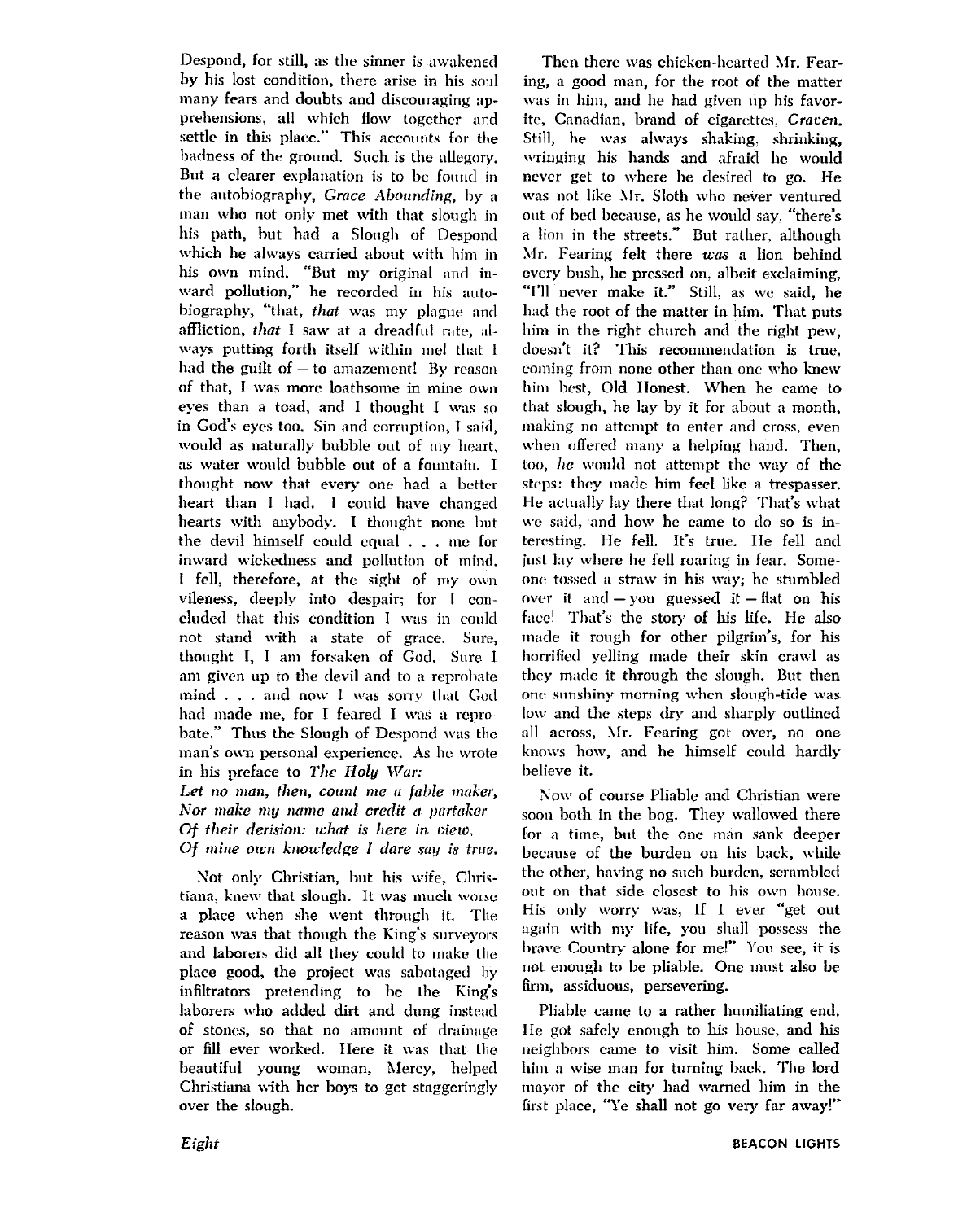Despond, for still, as the sinner is awakened by his lost condition, there arise in his soul many fears and doubts and discouraging apprehensions, all which flow together and settle in this place." This accounts for the badness of the ground. Such is the allegory. But a clearer explanation is to be found in the autobiography, Grace Abounding, by a man who not only met with that slough in his path, but had a Slough of Despond which he always carried about with him in his own mind. "But my original and inward pollution," he recorded in his autobiography, "that, that was my plague and affliction, that I saw at a dreadful rate, always putting forth itself within me! that I had the guilt of  $-$  to amazement! By reason of that, I was more loathsome in mine own eves than a toad, and I thought I was so in God's eves too. Sin and corruption, I said. would as naturally bubble out of my heart, as water would bubble out of a fountain. I thought now that every one had a better heart than I had. I could have changed hearts with anybody. I thought none but the devil himself could cqual . . . me for inward wickedness and pollution of mind. I fell, therefore, at the sight of my own vileness, deeply into despair; for I concluded that this condition I was in could not stand with a state of grace. Sure, thought I, I am forsaken of God. Sure I am given up to the devil and to a reprobate mind . . . and now I was sorry that God had made me, for I feared I was a reprobate." Thus the Slough of Despond was the man's own personal experience. As he wrote in his preface to The Holy War:

Let no man, then, count me a fable maker, Nor make my name and credit a partaker Of their derision: what is here in view. Of mine own knowledge I dare say is true.

Not only Christian, but his wife, Christiana, knew that slough. It was much worse a place when she went through it. The reason was that though the King's surveyors and laborers did all they could to make the place good, the project was sabotaged by infiltrators pretending to be the King's laborers who added dirt and dung instead of stones, so that no amount of drainage or fill ever worked. Here it was that the beautiful young woman, Mercy, helped Christiana with her boys to get staggeringly over the slough.

Then there was chicken-hearted Mr. Fearing, a good man, for the root of the matter was in him, and he had given up his favorite, Canadian, brand of cigarettes, Craven. Still, he was always shaking, shrinking, wringing his hands and afraid he would never get to where he desired to go. He was not like Mr. Sloth who never ventured out of bed because, as he would say, "there's a lion in the streets." But rather, although Mr. Fearing felt there was a lion behind every bush, he pressed on, albeit exclaiming, "I'll never make it." Still, as we said, he had the root of the matter in him. That puts him in the right church and the right new. doesn't it? This recommendation is true, coming from none other than one who knew him best, Old Honest. When he came to that slough, he lay by it for about a month. making no attempt to enter and cross, even when offered many a helping hand. Then, too, he would not attempt the way of the steps: they made him feel like a trespasser. He actually lay there that long? That's what we said, and how he came to do so is interesting. He fell. It's true. He fell and just lay where he fell roaring in fear. Someone tossed a straw in his way; he stumbled over it and  $-$  you guessed it  $-$  flat on his face! That's the story of his life. He also made it rough for other pilgrim's, for his horrified velling made their skin crawl as they made it through the slough. But then one sunshiny morning when slough-tide was low and the steps dry and sharply outlined all across, Mr. Fearing got over, no one knows how, and he himself could hardly believe it.

Now of course Pliable and Christian were soon both in the bog. They wallowed there for a time, but the one man sank deeper because of the burden on his back, while the other, having no such burden, scrambled out on that side closest to his own house. His only worry was, If I ever "get out again with my life, you shall possess the brave Country alone for me!" You see, it is not enough to be pliable. One must also be firm, assiduous, persevering.

Pliable came to a rather humiliating end. He got safely enough to his house, and his neighbors came to visit him. Some called him a wise man for turning back. The lord mayor of the city had warned him in the first place, "Ye shall not go very far away!"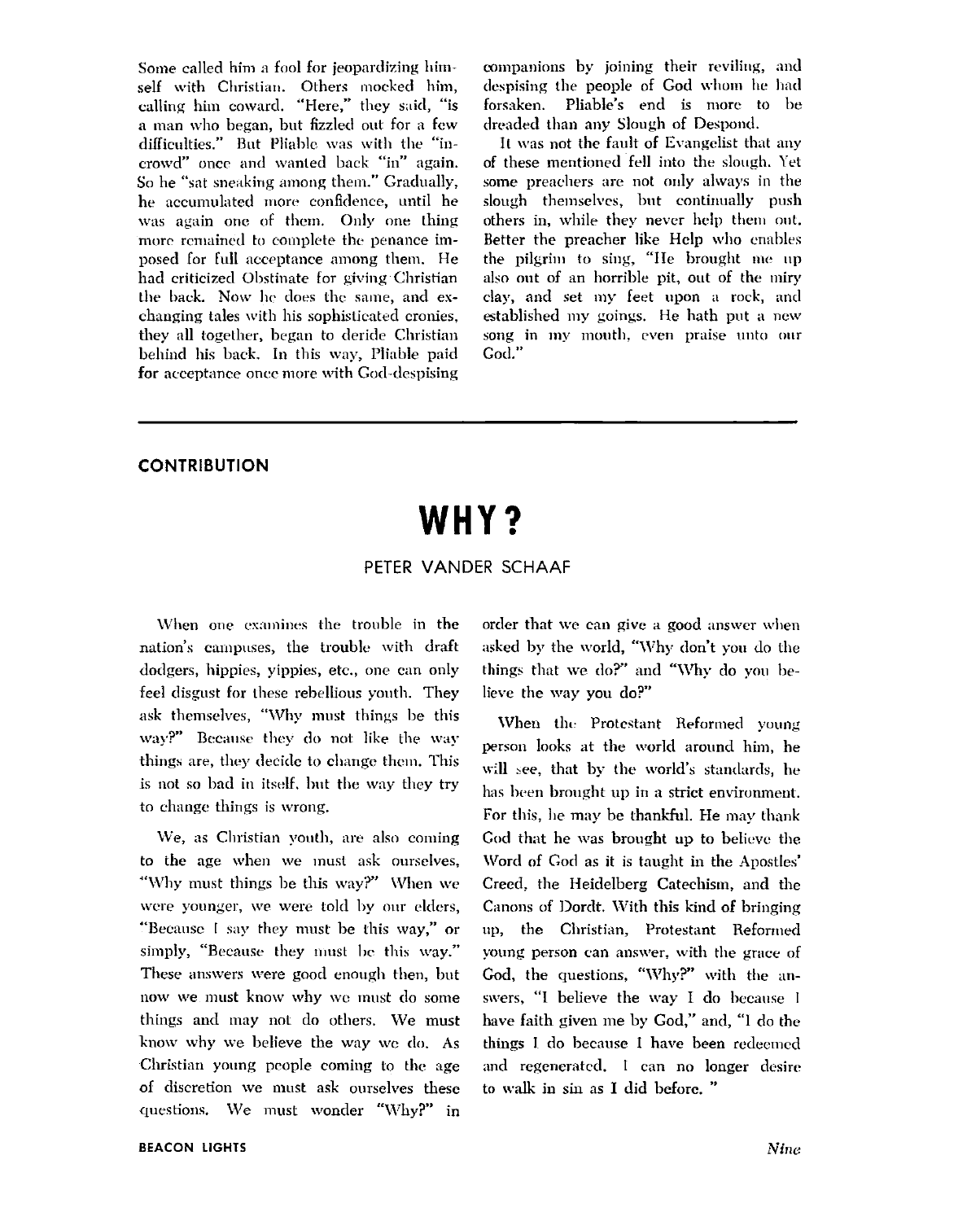Some called him a fool for jeopardizing himself with Christian. Others mocked him, calling him coward. "Here," they said, "is a man who began, but fizzled out for a few difficulties." But Pliable was with the "incrowd" once and wanted back "in" again. So he "sat sneaking among them." Gradually. he accumulated more confidence, until he was again one of them. Only one thing more remained to complete the penance imposed for full acceptance among them. He had criticized Obstinate for giving Christian the back. Now he does the same, and exchanging tales with his sophisticated cronies, they all together, began to deride Christian behind his back. In this way, Pliable paid for acceptance once more with God-despising companions by joining their reviling, and despising the people of God whom he had forsaken. Pliable's end is more to be dreaded than any Slough of Despond.

It was not the fault of Evangelist that any of these mentioned fell into the slough. Yet some preachers are not only always in the slough themselves, but continually push others in, while they never help them out. Better the preacher like Help who enables the pilgrim to sing, "He brought me up also out of an horrible pit, out of the miry clay, and set my feet upon a rock, ancl established my goings. He hath put a ncw song in my mouth, even praise unto our God."

#### **CONTRIBUTION**

## **WHY?**

#### PETER VANDER SCHAAF

When one examines the trouble in the nation's campuses, the trouble with draft dodgers, hippies, yippies, etc., one can only feel disgust for these rebellious youth. They ask themselves, "Why must things be this  $\langle$ way?" Because they do not like the way things are, they decide to change them. This is not so bad in itself, but the way they try to change things is wrong.

We, as Christian youth, are also coming to the age when we must ask ourselves, "Why must things be this  $\frac{1}{2}$ " When we were younger, we were told by our elders, "Because I say they must be this way," or simply, "Because they must be this way." These answers were good enough then, but nour we must know why **wc** must do some things and may not do others. We must know why we believe the way we do. As Christian young people coming to the age of discretion we must ask ourselves these questions. We must wonder "Why?" in

order that we can give a good answer when asked by the world, "Why don't you do the things that we do?" and "Why do you believe the way you do?"

When the Protestant Reformed young person looks at the world around him, he will see, that by the world's standards, he has been brought up in a strict environment. For this, he may be thankful. He may thank God that he was brought up to believe the Word of God as it is taught in the Apostles' Creed, the Heidelberg Catechism, and the Canons of Dordt. With this kind of bringing up, the Christian, Protestant Reformed young person can answer, with the grace of God, the questions, "Why?" with the answers, "I believe the way I do because I have faith given me by God," and, "1 do the things I do because I have been redecmcd and regenerated. I can no longer desire to **ndk** in sin as I did before. "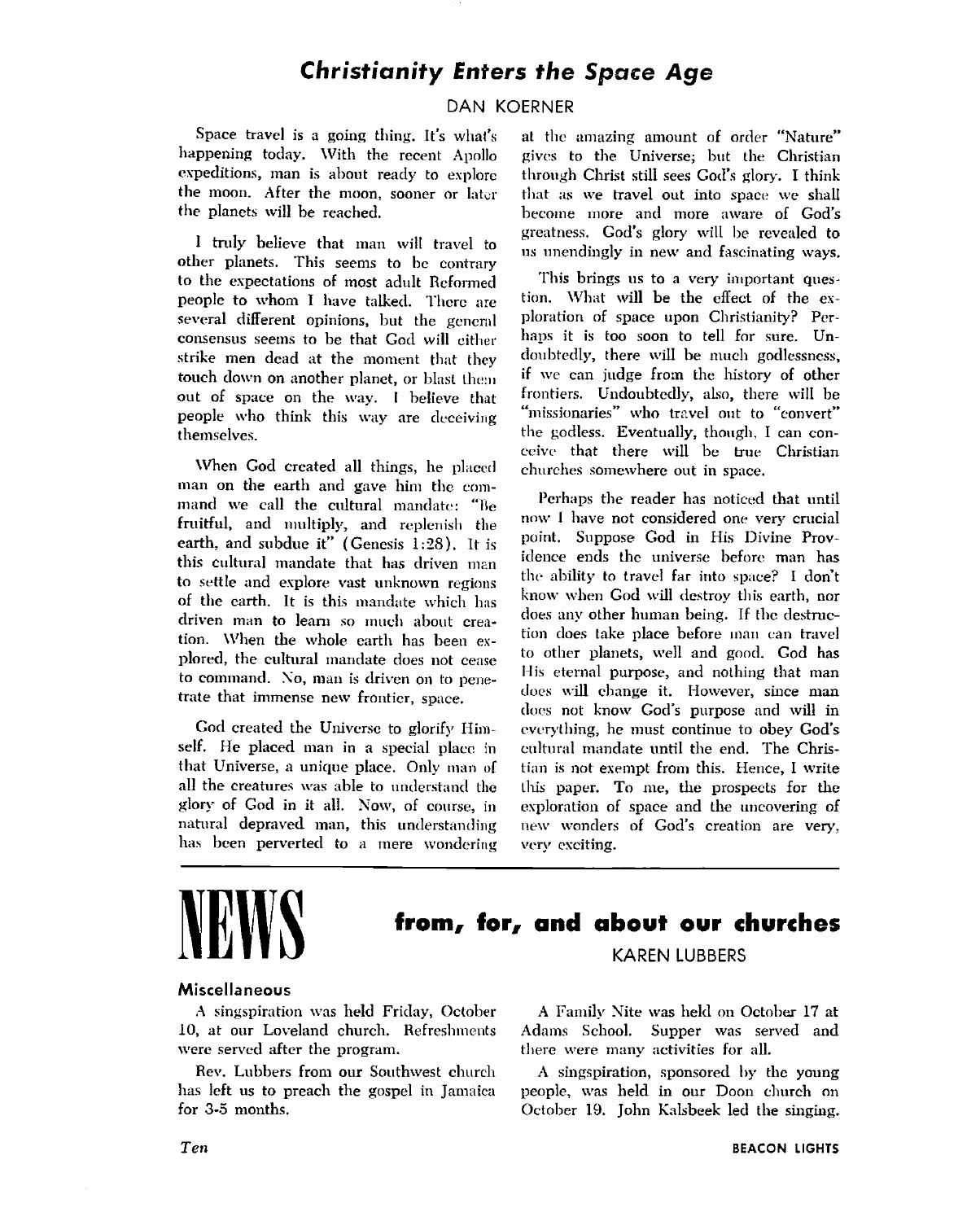#### **Christianity Enters the Space Age**

#### DAN KOERNER

Space travel is a going thing. It's what's at the amazing amount of order "Nature" happening today. With the recent Apollo gives to the Universe; but the Christian expeditions, man is about ready to explore through Christ still sees God's glory. I think the moon. After the moon, sooner or later that as we travel out into space we shall

1 tn11y believe that man will travel to other planets. This seems to bc contrary to the expectations of most adult Reformed people to whom I have talked. There are several different opinions, but the general consensus seems to be that God will cither strike men dead at the moment that they touch down on another planet, or blast them out of space on the way. I believe that people who think this way are deceiving themselves.

When God created all things, he placed man on the earth and gave him the rommand we call the cultural mandate: "Be fruitful, and multiply, and replenish the earth, and subdue it" (Genesis **1:28).** It is this cultural mandate that has driven man to settle and explore vast unknown regions of the earth. It is this mandate which has driven man to learn so much about creation. When the whole earth has been explored, the cultural mandate does not cease to command. No, man is driven on to penetrate that immense new frontier, space.

God created the Universe to glorify Himself. He placed man in a special placc in that Universe, a unique place. Only man of all the creatures was able to understand the glory of God in it all. Now, of course, in natural depraved man, this understanding has been perverted to a mere wondering

gives to the Universe; but the Christian the planets will be reached. become more and more aware of God's greatness, God's glory \till 11e revealed to us unendingly in new and fascinating ways.

> This brings us to a very important question. What will be the effect of the exploration of space upon Christianity? Perhaps it is too soon to tell for sure. Undoubtedly, there will be much godlessness, if **wc** can judge fro:n the history of other frontiers. Undoubtedly, also, there will be "missionaries" who travel out to "convert" the godless. Eventually, though, I can conceive that there will be true Christian churches somewhere out in space.

> Perhaps the reader has noticed that until now I have not considered one very crucial point. Suppose God in His Divine Providence ends the universe before man has the ability to travel far into space? I don't know when God will destroy this earth, nor does any other human being. If thc deztruction does take place before man can travel to other planets, well and good. God has His eternal purpose, and nothing that man does will change it. However, since man does not know God's purpose and will in everything, he must continue to obey God's cultural mandate until the end. The Christian is not exempt from this. Hence, I write this paper. To me, the prospects for the exploration of space and the uncovering of new wonders of God's creation are very, very exciting.

### **NEWS from, for, and about our churches**  KAREN LUBBERS

#### Miscellaneous

were served after the program. There were many activities for all.

A singspiration was held Friday, October A Family Nite was held on October 17 at 10, at our Loveland church. Refreshments Adams School. Supper was served and

Rev. Lubbers from our Southwest church A singspiration, sponsored by the young has left us to preach the gospel in Jamaica people, was held in our Doon church on people, was held in our Doon church on for 3-5 months. Cotober 19. John Kalsbeek led the singing.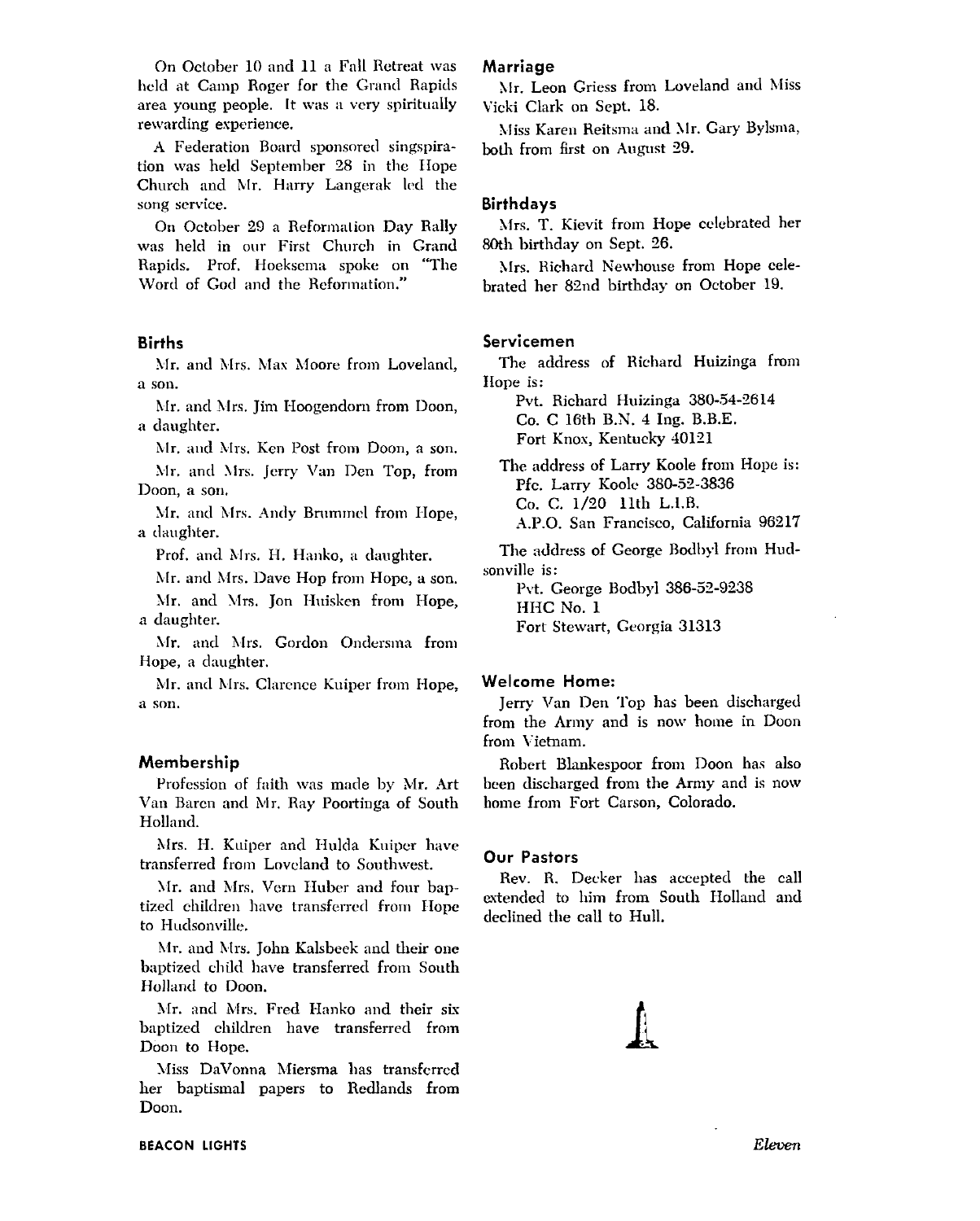On October 10 and 11 a Fall Retreat was held at Camp Roger for the Grand Rapids area young people. It was a very spiritually rewarding experience.

A Federation Board sponsored singspiration was held September 28 in the Hope Church and Mr. Harry Langerak led the song service.

On October 29 a Reformation Day Rally was held in our First Church in Grand Rapids. Prof. Hoeksema spoke on "The Word of God and the Reformation."

#### **Births**

Mr. and Mrs. Max Moore from Loveland, a son.

Mr. and Mrs. Jim Hoogendorn from Doon, a daughter.

Mr. and Mrs. Ken Post from Doon, a son.

Mr. and Mrs. Jerry Van Den Top, from Doon, a son,

Mr. and Mrs. Andy Brummel from Hope, a daughter.

Prof. and Mrs. H. Hanko, a daughter.

Mr. and Mrs. Dave Hop from Hope, a son. Mr. and Mrs. Jon Huisken from Hope, a daughter.

Mr. and Mrs. Gordon Ondersma from Hope, a daughter.

Mr. and Mrs. Clarence Kuiper from Hope, a son.

#### Membership

Profession of faith was made by Mr. Art Van Baren and Mr. Ray Poortinga of South Holland.

Mrs. H. Kuiper and Hulda Kuiper have transferred from Loveland to Southwest.

Mr. and Mrs. Vern Huber and four baptized children have transferred from Hope to Hudsonville.

Mr. and Mrs. John Kalsbeek and their one baptized child have transferred from South Holland to Doon.

Mr. and Mrs. Fred Hanko and their six baptized children have transferred from Doon to Hope.

Miss DaVonna Miersma has transferred her baptismal papers to Redlands from Doon.

#### Marriage

Mr. Leon Griess from Loveland and Miss Vicki Clark on Sept. 18.

Miss Karen Reitsma and Mr. Gary Bylsma, both from first on August 29.

#### **Birthdays**

Mrs. T. Kievit from Hope celebrated her 80th birthday on Sept. 26.

Mrs. Richard Newhouse from Hope celebrated her 82nd birthday on October 19.

#### Servicemen

The address of Richard Huizinga from Hope is:

Pvt. Richard Huizinga 380-54-2614 Co. C 16th B.N. 4 Ing. B.B.E. Fort Knox, Kentucky 40121

The address of Larry Koole from Hope is: Pfc. Larry Koole 380-52-3836 Co. C. 1/20 11th L.I.B. A.P.O. San Francisco, California 96217

The address of George Bodbyl from Hudsonville is:

Pvt. George Bodbyl 386-52-9238 HHC No. 1 Fort Stewart, Georgia 31313

#### Welcome Home:

Jerry Van Den Top has been discharged from the Army and is now home in Doon from Vietnam.

Robert Blankespoor from Doon has also been discharged from the Army and is now home from Fort Carson, Colorado.

#### **Our Pastors**

Rev. R. Decker has accepted the call extended to him from South Holland and declined the call to Hull.